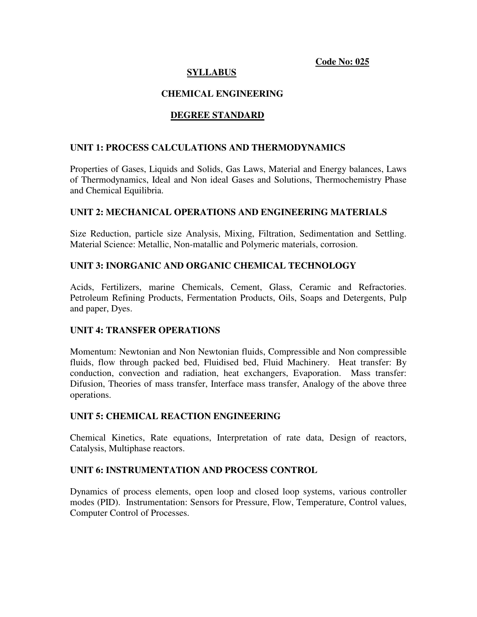## **Code No: 025**

# **SYLLABUS**

## **CHEMICAL ENGINEERING**

## **DEGREE STANDARD**

## **UNIT 1: PROCESS CALCULATIONS AND THERMODYNAMICS**

Properties of Gases, Liquids and Solids, Gas Laws, Material and Energy balances, Laws of Thermodynamics, Ideal and Non ideal Gases and Solutions, Thermochemistry Phase and Chemical Equilibria.

#### **UNIT 2: MECHANICAL OPERATIONS AND ENGINEERING MATERIALS**

Size Reduction, particle size Analysis, Mixing, Filtration, Sedimentation and Settling. Material Science: Metallic, Non-matallic and Polymeric materials, corrosion.

#### **UNIT 3: INORGANIC AND ORGANIC CHEMICAL TECHNOLOGY**

Acids, Fertilizers, marine Chemicals, Cement, Glass, Ceramic and Refractories. Petroleum Refining Products, Fermentation Products, Oils, Soaps and Detergents, Pulp and paper, Dyes.

#### **UNIT 4: TRANSFER OPERATIONS**

Momentum: Newtonian and Non Newtonian fluids, Compressible and Non compressible fluids, flow through packed bed, Fluidised bed, Fluid Machinery. Heat transfer: By conduction, convection and radiation, heat exchangers, Evaporation. Mass transfer: Difusion, Theories of mass transfer, Interface mass transfer, Analogy of the above three operations.

## **UNIT 5: CHEMICAL REACTION ENGINEERING**

Chemical Kinetics, Rate equations, Interpretation of rate data, Design of reactors, Catalysis, Multiphase reactors.

#### **UNIT 6: INSTRUMENTATION AND PROCESS CONTROL**

Dynamics of process elements, open loop and closed loop systems, various controller modes (PID). Instrumentation: Sensors for Pressure, Flow, Temperature, Control values, Computer Control of Processes.